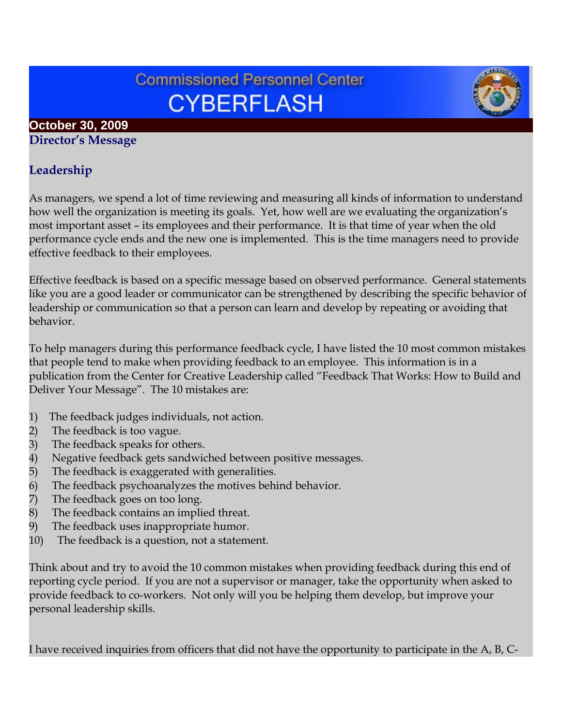# **Commissioned Personnel Center CYBERFLASH**

## **October 30, 2009**

**Director's Message**

## **Leadership**

As managers, we spend a lot of time reviewing and measuring all kinds of information to understand how well the organization is meeting its goals. Yet, how well are we evaluating the organization's most important asset – its employees and their performance. It is that time of year when the old performance cycle ends and the new one is implemented. This is the time managers need to provide effective feedback to their employees.

Effective feedback is based on a specific message based on observed performance. General statements like you are a good leader or communicator can be strengthened by describing the specific behavior of leadership or communication so that a person can learn and develop by repeating or avoiding that behavior.

To help managers during this performance feedback cycle, I have listed the 10 most common mistakes that people tend to make when providing feedback to an employee. This information is in a publication from the Center for Creative Leadership called "Feedback That Works: How to Build and Deliver Your Message". The 10 mistakes are:

- 1) The feedback judges individuals, not action.
- 
- 2) The feedback is too vague.<br>3) The feedback speaks for ot
- 3) The feedback speaks for others.<br>4) Negative feedback gets sandwic 4) Negative feedback gets sandwiched between positive messages.
- 
- 5) The feedback is exaggerated with generalities.<br>6) The feedback psychoanalyzes the motives behi<br>7) The feedback goes on too long. The feedback psychoanalyzes the motives behind behavior.
- 
- 7) The feedback goes on too long.<br>8) The feedback contains an impli The feedback contains an implied threat.
- 9) The feedback uses inappropriate humor.
- 10) The feedback is a question, not a statement.

Think about and try to avoid the 10 common mistakes when providing feedback during this end of reporting cycle period. If you are not a supervisor or manager, take the opportunity when asked to provide feedback to co-workers. Not only will you be helping them develop, but improve your personal leadership skills.

I have received inquiries from officers that did not have the opportunity to participate in the A, B, C-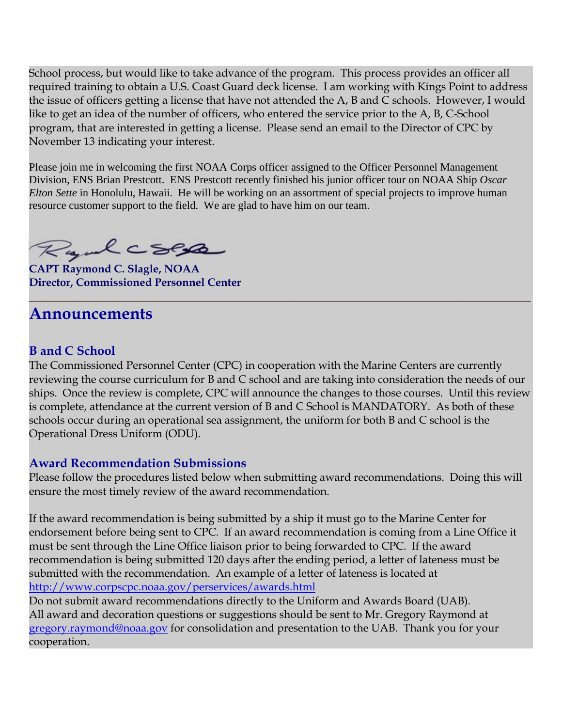School process, but would like to take advance of the program. This process provides an officer all required training to obtain a U.S. Coast Guard deck license. I am working with Kings Point to address the issue of officers getting a license that have not attended the A, B and C schools. However, I would like to get an idea of the number of officers, who entered the service prior to the A, B, C-School program, that are interested in getting a license. Please send an email to the Director of CPC by November 13 indicating your interest.

Please join me in welcoming the first NOAA Corps officer assigned to the Officer Personnel Management Division, ENS Brian Prestcott. ENS Prestcott recently finished his junior officer tour on NOAA Ship *Oscar Elton Sette* in Honolulu, Hawaii. He will be working on an assortment of special projects to improve human resource customer support to the field. We are glad to have him on our team.

Rydcsep

**CAPT Raymond C. Slagle, NOAA Director, Commissioned Personnel Center**

## **Announcements**

#### **B and C School**

The Commissioned Personnel Center (CPC) in cooperation with the Marine Centers are currently reviewing the course curriculum for B and C school and are taking into consideration the needs of our ships. Once the review is complete, CPC will announce the changes to those courses. Until this review is complete, attendance at the current version of B and C School is MANDATORY. As both of these schools occur during an operational sea assignment, the uniform for both B and C school is the Operational Dress Uniform (ODU).

**\_\_\_\_\_\_\_\_\_\_\_\_\_\_\_\_\_\_\_\_\_\_\_\_\_\_\_\_\_\_\_\_\_\_\_\_\_\_\_\_\_\_\_\_\_\_\_\_\_\_\_\_\_\_\_\_\_\_\_\_\_\_\_\_\_\_\_\_\_\_\_\_\_\_\_\_\_\_\_\_\_**

#### **Award Recommendation Submissions**

Please follow the procedures listed below when submitting award recommendations. Doing this will ensure the most timely review of the award recommendation.

If the award recommendation is being submitted by a ship it must go to the Marine Center for endorsement before being sent to CPC. If an award recommendation is coming from a Line Office it must be sent through the Line Office liaison prior to being forwarded to CPC. If the award recommendation is being submitted 120 days after the ending period, a letter of lateness must be submitted with the recommendation. An example of a letter of lateness is located at <http://www.corpscpc.noaa.gov/perservices/awards.html>

Do not submit award recommendations directly to the Uniform and Awards Board (UAB). All award and decoration questions or suggestions should be sent to Mr. Gregory Raymond at [gregory.raymond@noaa.gov](mailto:gregory.raymond@noaa.gov) for consolidation and presentation to the UAB. Thank you for your cooperation.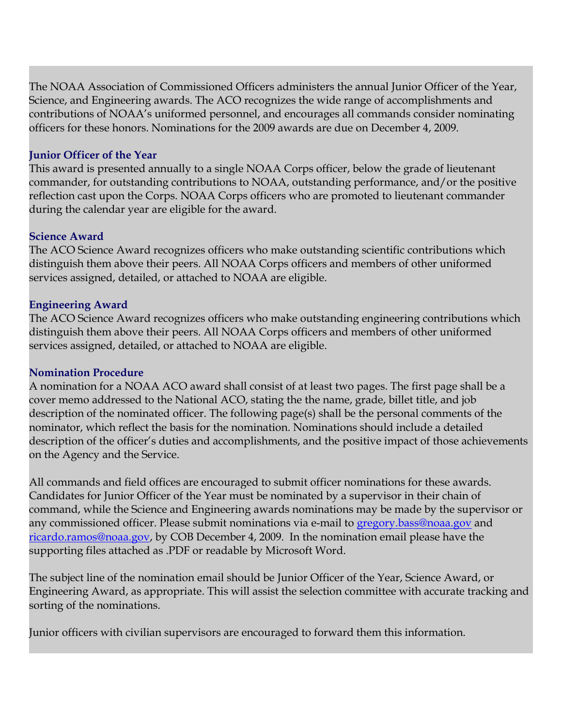The NOAA Association of Commissioned Officers administers the annual Junior Officer of the Year, Science, and Engineering awards. The ACO recognizes the wide range of accomplishments and contributions of NOAA's uniformed personnel, and encourages all commands consider nominating officers for these honors. Nominations for the 2009 awards are due on December 4, 2009.

#### **Junior Officer of the Year**

This award is presented annually to a single NOAA Corps officer, below the grade of lieutenant commander, for outstanding contributions to NOAA, outstanding performance, and/or the positive reflection cast upon the Corps. NOAA Corps officers who are promoted to lieutenant commander during the calendar year are eligible for the award.

#### **Science Award**

The ACO Science Award recognizes officers who make outstanding scientific contributions which distinguish them above their peers. All NOAA Corps officers and members of other uniformed services assigned, detailed, or attached to NOAA are eligible.

#### **Engineering Award**

The ACO Science Award recognizes officers who make outstanding engineering contributions which distinguish them above their peers. All NOAA Corps officers and members of other uniformed services assigned, detailed, or attached to NOAA are eligible.

#### **Nomination Procedure**

A nomination for a NOAA ACO award shall consist of at least two pages. The first page shall be a cover memo addressed to the National ACO, stating the the name, grade, billet title, and job description of the nominated officer. The following page(s) shall be the personal comments of the nominator, which reflect the basis for the nomination. Nominations should include a detailed description of the officer's duties and accomplishments, and the positive impact of those achievements on the Agency and the Service.

All commands and field offices are encouraged to submit officer nominations for these awards. Candidates for Junior Officer of the Year must be nominated by a supervisor in their chain of command, while the Science and Engineering awards nominations may be made by the supervisor or any commissioned officer. Please submit nominations via e-mail to [gregory.bass@noaa.gov](mailto:gregory.bass@noaa.gov) and [ricardo.ramos@noaa.gov,](mailto:ricardo.ramos@noaa.gov) by COB December 4, 2009. In the nomination email please have the supporting files attached as .PDF or readable by Microsoft Word.

The subject line of the nomination email should be Junior Officer of the Year, Science Award, or Engineering Award, as appropriate. This will assist the selection committee with accurate tracking and sorting of the nominations.

Junior officers with civilian supervisors are encouraged to forward them this information.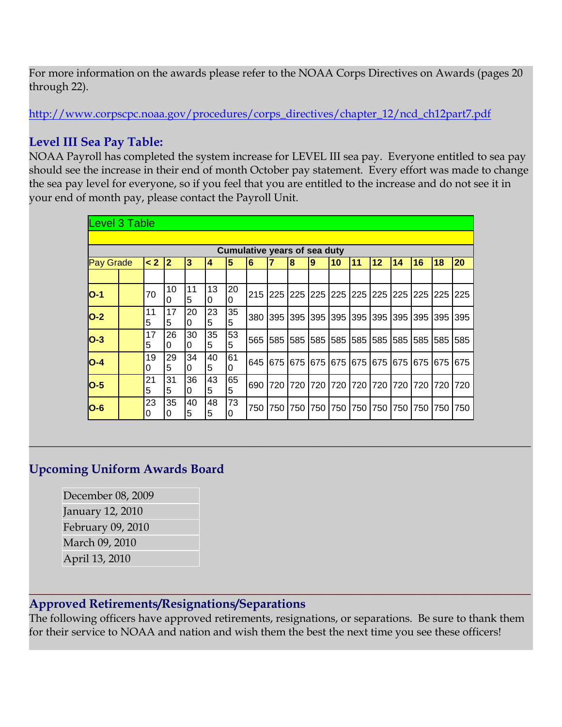For more information on the awards please refer to the NOAA Corps Directives on Awards (pages 20 through 22).

[http://www.corpscpc.noaa.gov/procedures/corps\\_directives/chapter\\_12/ncd\\_ch12part7.pdf](http://www.corpscpc.noaa.gov/procedures/corps_directives/chapter_12/ncd_ch12part7.pdf)

## **Level III Sea Pay Table:**

NOAA Payroll has completed the system increase for LEVEL III sea pay. Everyone entitled to sea pay should see the increase in their end of month October pay statement. Every effort was made to change the sea pay level for everyone, so if you feel that you are entitled to the increase and do not see it in your end of month pay, please contact the Payroll Unit.

| <b>Level 3 Table</b>                |  |          |                |         |                |                |     |     |     |         |                 |                |     |     |           |                 |             |
|-------------------------------------|--|----------|----------------|---------|----------------|----------------|-----|-----|-----|---------|-----------------|----------------|-----|-----|-----------|-----------------|-------------|
|                                     |  |          |                |         |                |                |     |     |     |         |                 |                |     |     |           |                 |             |
| <b>Cumulative years of sea duty</b> |  |          |                |         |                |                |     |     |     |         |                 |                |     |     |           |                 |             |
| <b>Pay Grade</b>                    |  | $\leq 2$ | $\overline{2}$ | 3       | $\overline{4}$ | 5              | 6   | 7   | 8   | 9       | l10             | 11             | 12  | 14  | 16        | 18              | 20          |
|                                     |  |          |                |         |                |                |     |     |     |         |                 |                |     |     |           |                 |             |
| $O-1$                               |  | 70       | 10<br>0        | 11<br>5 | 13<br>0        | 20<br>$\Omega$ | 215 | 225 |     |         |                 |                |     |     |           |                 |             |
| $O-2$                               |  | 11<br>5  | 17<br>5        | 20<br>0 | 23<br>5        | 35<br>5        | 380 | 395 | 395 | 395     | 395             | 395            | 395 | 395 | 395       | <b>1395</b>     | 395         |
| $O-3$                               |  | 17<br>5  | 26<br>0        | 30<br>0 | 35<br>5        | 53<br>5        | 565 | 585 | 585 | 585     | 585 585         |                | 585 | 585 | 1585 1585 |                 | <b>1585</b> |
| $O-4$                               |  | 19<br>0  | 29<br>5        | 34<br>0 | 40<br>5        | 61<br>0        | 645 | 675 | 675 |         | 675 675 675 675 |                |     |     |           | 675 675 675 675 |             |
| $O-5$                               |  | 21<br>5  | 31<br>5        | 36<br>0 | 43<br>5        | 65<br>5        | 690 | 720 | 720 | 720 720 |                 | 1720 1720 1720 |     |     | 1720      | 1720            | 1720        |
| $O-6$                               |  | 23<br>0  | 35<br>0        | 40<br>5 | 48<br>5        | 73<br>0        | 750 | 750 | 750 | 750     | 750             | 750            | 750 | 750 | 750       | 750             | 750         |

**\_\_\_\_\_\_\_\_\_\_\_\_\_\_\_\_\_\_\_\_\_\_\_\_\_\_\_\_\_\_\_\_\_\_\_\_\_\_\_\_\_\_\_\_\_\_\_\_\_\_\_\_\_\_\_\_\_\_\_\_\_\_\_\_\_\_\_\_\_\_\_\_\_\_\_\_\_\_\_\_\_**

### **Upcoming Uniform Awards Board**

December 08, 2009 January 12, 2010 February 09, 2010 March 09, 2010 April 13, 2010

#### **Approved Retirements/Resignations/Separations**

The following officers have approved retirements, resignations, or separations. Be sure to thank them for their service to NOAA and nation and wish them the best the next time you see these officers!

**\_\_\_\_\_\_\_\_\_\_\_\_\_\_\_\_\_\_\_\_\_\_\_\_\_\_\_\_\_\_\_\_\_\_\_\_\_\_\_\_\_\_\_\_\_\_\_\_\_\_\_\_\_\_\_\_\_\_\_\_\_\_\_\_\_\_\_\_\_\_\_\_\_\_\_\_\_\_\_\_\_**